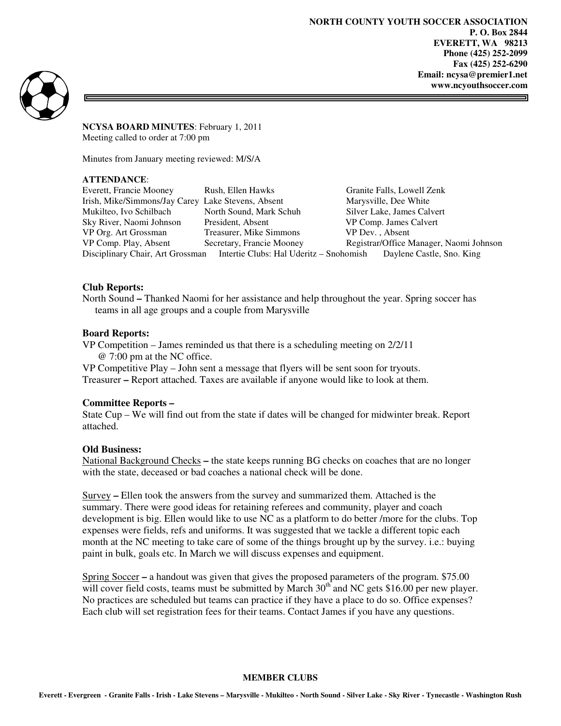**NORTH COUNTY YOUTH SOCCER ASSOCIATION P. O. Box 2844 EVERETT, WA 98213 Phone (425) 252-2099 Fax (425) 252-6290 Email: ncysa@premier1.net www.ncyouthsoccer.com** 



**NCYSA BOARD MINUTES**: February 1, 2011 Meeting called to order at 7:00 pm

Minutes from January meeting reviewed: M/S/A

# **ATTENDANCE**:

Everett, Francie Mooney Rush, Ellen Hawks Granite Falls, Lowell Zenk Irish, Mike/Simmons/Jay Carey Lake Stevens, Absent Marysville, Dee White Mukilteo, Ivo Schilbach North Sound, Mark Schuh Silver Lake, James Calvert Sky River, Naomi Johnson President, Absent VP Comp. James Calvert VP Org. Art Grossman Treasurer, Mike Simmons VP Dev. , Absent VP Comp. Play, Absent Secretary, Francie Mooney Registrar/Office Manager, Naomi Johnson Disciplinary Chair, Art Grossman Intertie Clubs: Hal Uderitz – Snohomish Daylene Castle, Sno. King

# **Club Reports:**

North Sound **–** Thanked Naomi for her assistance and help throughout the year. Spring soccer has teams in all age groups and a couple from Marysville

## **Board Reports:**

VP Competition – James reminded us that there is a scheduling meeting on 2/2/11 @ 7:00 pm at the NC office.

VP Competitive Play – John sent a message that flyers will be sent soon for tryouts. Treasurer **–** Report attached. Taxes are available if anyone would like to look at them.

## **Committee Reports –**

State Cup – We will find out from the state if dates will be changed for midwinter break. Report attached.

#### **Old Business:**

National Background Checks **–** the state keeps running BG checks on coaches that are no longer with the state, deceased or bad coaches a national check will be done.

Survey **–** Ellen took the answers from the survey and summarized them. Attached is the summary. There were good ideas for retaining referees and community, player and coach development is big. Ellen would like to use NC as a platform to do better /more for the clubs. Top expenses were fields, refs and uniforms. It was suggested that we tackle a different topic each month at the NC meeting to take care of some of the things brought up by the survey. i.e.: buying paint in bulk, goals etc. In March we will discuss expenses and equipment.

Spring Soccer **–** a handout was given that gives the proposed parameters of the program. \$75.00 will cover field costs, teams must be submitted by March 30<sup>th</sup> and NC gets \$16.00 per new player. No practices are scheduled but teams can practice if they have a place to do so. Office expenses? Each club will set registration fees for their teams. Contact James if you have any questions.

#### **MEMBER CLUBS**